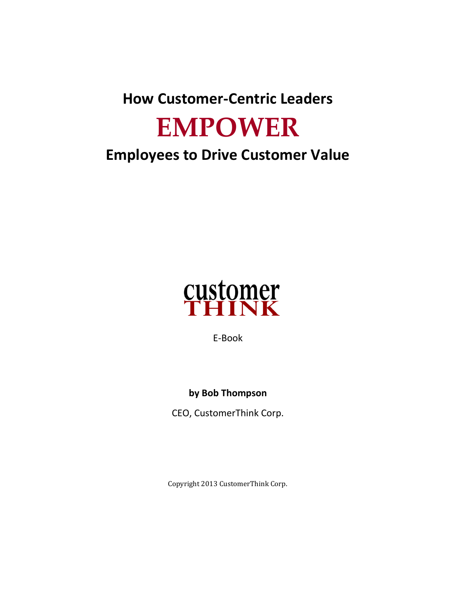# **How Customer-Centric Leaders EMPOWER Employees to Drive Customer Value**



E-Book

### **by Bob Thompson**

CEO, CustomerThink Corp.

Copyright 2013 CustomerThink Corp.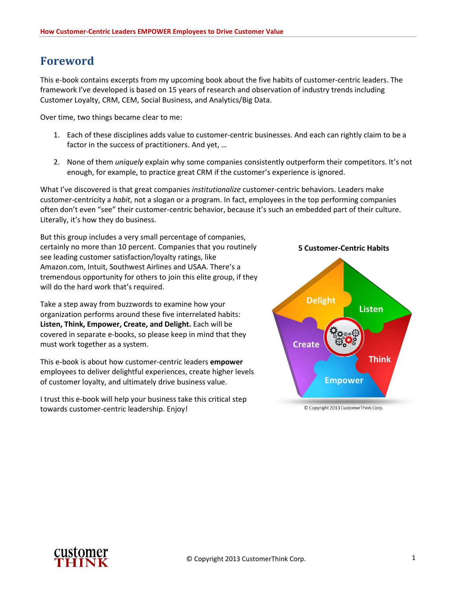### **Foreword**

This e-book contains excerpts from my upcoming book about the five habits of customer-centric leaders. The framework I've developed is based on 15 years of research and observation of industry trends including Customer Loyalty, CRM, CEM, Social Business, and Analytics/Big Data.

Over time, two things became clear to me:

- 1. Each of these disciplines adds value to customer-centric businesses. And each can rightly claim to be a factor in the success of practitioners. And yet, …
- 2. None of them *uniquely* explain why some companies consistently outperform their competitors. It's not enough, for example, to practice great CRM if the customer's experience is ignored.

What I've discovered is that great companies *institutionalize* customer-centric behaviors. Leaders make customer-centricity a *habit*, not a slogan or a program. In fact, employees in the top performing companies often don't even "see" their customer-centric behavior, because it's such an embedded part of their culture. Literally, it's how they do business.

But this group includes a very small percentage of companies, certainly no more than 10 percent. Companies that you routinely see leading customer satisfaction/loyalty ratings, like Amazon.com, Intuit, Southwest Airlines and USAA. There's a tremendous opportunity for others to join this elite group, if they will do the hard work that's required.

Take a step away from buzzwords to examine how your organization performs around these five interrelated habits: **Listen, Think, Empower, Create, and Delight.** Each will be covered in separate e-books, so please keep in mind that they must work together as a system.

This e-book is about how customer-centric leaders **empower** employees to deliver delightful experiences, create higher levels of customer loyalty, and ultimately drive business value.

I trust this e-book will help your business take this critical step towards customer-centric leadership. Enjoy!



© Copyright 2013 CustomerThink Corp.

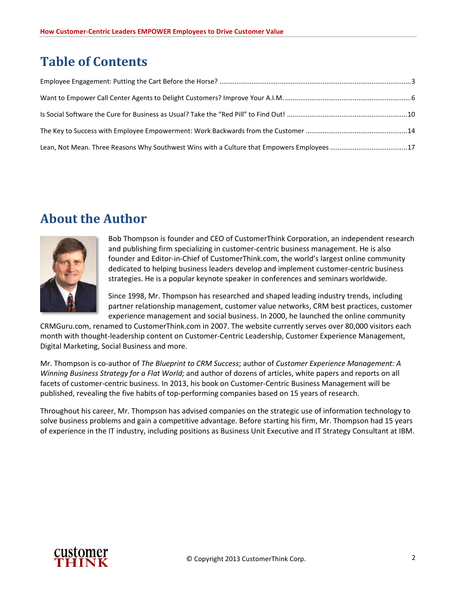# **Table of Contents**

### **About the Author**



Bob Thompson is founder and CEO of CustomerThink Corporation, an independent research and publishing firm specializing in customer-centric business management. He is also founder and Editor-in-Chief of CustomerThink.com, the world's largest online community dedicated to helping business leaders develop and implement customer-centric business strategies. He is a popular keynote speaker in conferences and seminars worldwide.

Since 1998, Mr. Thompson has researched and shaped leading industry trends, including partner relationship management, customer value networks, CRM best practices, customer experience management and social business. In 2000, he launched the online community

CRMGuru.com, renamed to CustomerThink.com in 2007. The website currently serves over 80,000 visitors each month with thought-leadership content on Customer-Centric Leadership, Customer Experience Management, Digital Marketing, Social Business and more.

Mr. Thompson is co-author of *The Blueprint to CRM Success*; author of *Customer Experience Management: A Winning Business Strategy for a Flat World;* and author of dozens of articles, white papers and reports on all facets of customer-centric business. In 2013, his book on Customer-Centric Business Management will be published, revealing the five habits of top-performing companies based on 15 years of research.

Throughout his career, Mr. Thompson has advised companies on the strategic use of information technology to solve business problems and gain a competitive advantage. Before starting his firm, Mr. Thompson had 15 years of experience in the IT industry, including positions as Business Unit Executive and IT Strategy Consultant at IBM.

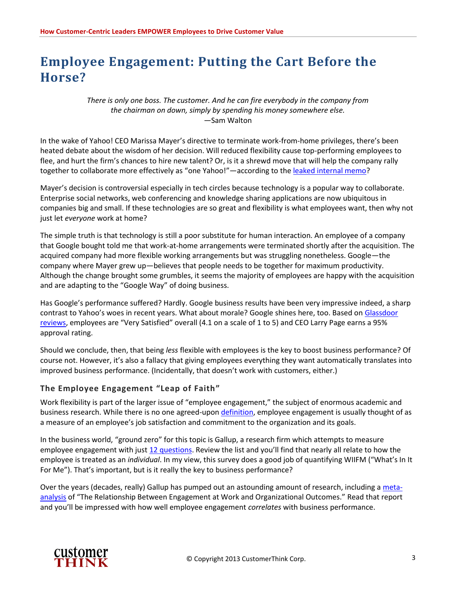# **Employee Engagement: Putting the Cart Before the Horse?**

#### *There is only one boss. The customer. And he can fire everybody in the company from the chairman on down, simply by spending his money somewhere else.* —Sam Walton

In the wake of Yahoo! CEO Marissa Mayer's directive to terminate work-from-home privileges, there's been heated debate about the wisdom of her decision. Will reduced flexibility cause top-performing employees to flee, and hurt the firm's chances to hire new talent? Or, is it a shrewd move that will help the company rally together to collaborate more effectively as "one Yahoo!"—according to th[e leaked internal memo?](http://www.businessinsider.com/yahoo-working-from-home-memo-2013-2)

Mayer's decision is controversial especially in tech circles because technology is a popular way to collaborate. Enterprise social networks, web conferencing and knowledge sharing applications are now ubiquitous in companies big and small. If these technologies are so great and flexibility is what employees want, then why not just let *everyone* work at home?

The simple truth is that technology is still a poor substitute for human interaction. An employee of a company that Google bought told me that work-at-home arrangements were terminated shortly after the acquisition. The acquired company had more flexible working arrangements but was struggling nonetheless. Google—the company where Mayer grew up—believes that people needs to be together for maximum productivity. Although the change brought some grumbles, it seems the majority of employees are happy with the acquisition and are adapting to the "Google Way" of doing business.

Has Google's performance suffered? Hardly. Google business results have been very impressive indeed, a sharp contrast to Yahoo's woes in recent years. What about morale? Google shines here, too. Based on Glassdoor [reviews,](http://www.glassdoor.com/Overview/Working-at-Google-EI_IE9079.11,17.htm) employees are "Very Satisfied" overall (4.1 on a scale of 1 to 5) and CEO Larry Page earns a 95% approval rating.

Should we conclude, then, that being *less* flexible with employees is the key to boost business performance? Of course not. However, it's also a fallacy that giving employees everything they want automatically translates into improved business performance. (Incidentally, that doesn't work with customers, either.)

#### **The Employee Engagement "Leap of Faith"**

Work flexibility is part of the larger issue of "employee engagement," the subject of enormous academic and business research. While there is no one agreed-upon [definition,](http://en.wikipedia.org/wiki/Employee_engagement) employee engagement is usually thought of as a measure of an employee's job satisfaction and commitment to the organization and its goals.

In the business world, "ground zero" for this topic is Gallup, a research firm which attempts to measure employee engagement with jus[t 12 questions.](http://www.gallup.com/file/strategicconsulting/121535/Employee_Engagement_Overview_Brochure.pdf) Review the list and you'll find that nearly all relate to how the employee is treated as an *individual*. In my view, this survey does a good job of quantifying WIIFM ("What's In It For Me"). That's important, but is it really the key to business performance?

Over the years (decades, really) Gallup has pumped out an astounding amount of research, including a [meta](http://www.gallup.com/strategicconsulting/126806/Q12-Meta-Analysis.aspx)[analysis](http://www.gallup.com/strategicconsulting/126806/Q12-Meta-Analysis.aspx) of "The Relationship Between Engagement at Work and Organizational Outcomes." Read that report and you'll be impressed with how well employee engagement *correlates* with business performance.

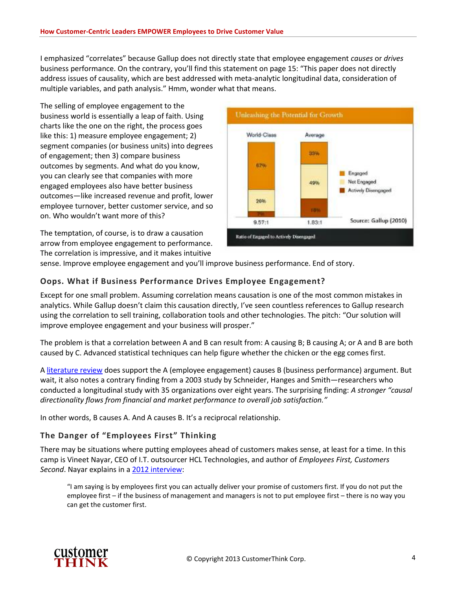I emphasized "correlates" because Gallup does not directly state that employee engagement *causes* or *drives* business performance. On the contrary, you'll find this statement on page 15: "This paper does not directly address issues of causality, which are best addressed with meta-analytic longitudinal data, consideration of multiple variables, and path analysis." Hmm, wonder what that means.

The selling of employee engagement to the business world is essentially a leap of faith. Using charts like the one on the right, the process goes like this: 1) measure employee engagement; 2) segment companies (or business units) into degrees of engagement; then 3) compare business outcomes by segments. And what do you know, you can clearly see that companies with more engaged employees also have better business outcomes—like increased revenue and profit, lower employee turnover, better customer service, and so on. Who wouldn't want more of this?

The temptation, of course, is to draw a causation arrow from employee engagement to performance. The correlation is impressive, and it makes intuitive



sense. Improve employee engagement and you'll improve business performance. End of story.

#### **Oops. What if Business Performance Drives Employee Engagement?**

Except for one small problem. Assuming correlation means causation is one of the most common mistakes in analytics. While Gallup doesn't claim this causation directly, I've seen countless references to Gallup research using the correlation to sell training, collaboration tools and other technologies. The pitch: "Our solution will improve employee engagement and your business will prosper."

The problem is that a correlation between A and B can result from: A causing B; B causing A; or A and B are both caused by C. Advanced statistical techniques can help figure whether the chicken or the egg comes first.

A [literature review](http://www.teammax.net/files/LiteratureReview.pdf) does support the A (employee engagement) causes B (business performance) argument. But wait, it also notes a contrary finding from a 2003 study by Schneider, Hanges and Smith—researchers who conducted a longitudinal study with 35 organizations over eight years. The surprising finding: *A stronger "causal directionality flows from financial and market performance to overall job satisfaction."*

In other words, B causes A. And A causes B. It's a reciprocal relationship.

#### **The Danger of "Employees First" Thinking**

There may be situations where putting employees ahead of customers makes sense, at least for a time. In this camp is Vineet Nayar, CEO of I.T. outsourcer HCL Technologies, and author of *Employees First, Customers*  Second. Nayar explains in [a 2012 interview:](http://www.forbes.com/sites/karlmoore/2012/05/14/employees-first-customers-second-why-it-really-works-in-the-market/)

"I am saying is by employees first you can actually deliver your promise of customers first. If you do not put the employee first – if the business of management and managers is not to put employee first – there is no way you can get the customer first.

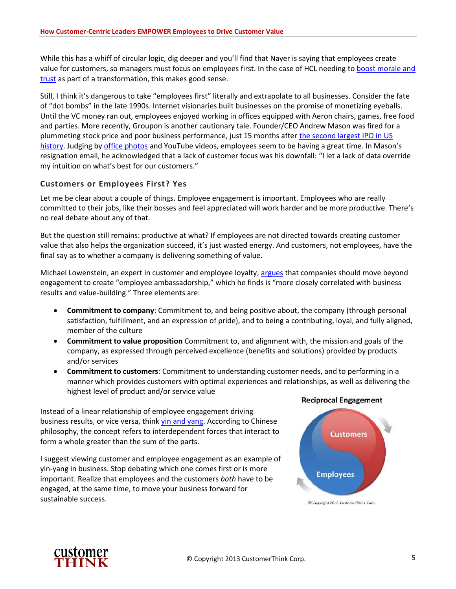While this has a whiff of circular logic, dig deeper and you'll find that Nayer is saying that employees create value for customers, so managers must focus on employees first. In the case of HCL needing to boost morale and [trust](http://www.customerthink.com/blog/focusing_on_the_most_important_2_feet_in_marketing_hcltech) as part of a transformation, this makes good sense.

Still, I think it's dangerous to take "employees first" literally and extrapolate to all businesses. Consider the fate of "dot bombs" in the late 1990s. Internet visionaries built businesses on the promise of monetizing eyeballs. Until the VC money ran out, employees enjoyed working in offices equipped with Aeron chairs, games, free food and parties. More recently, Groupon is another cautionary tale. Founder/CEO Andrew Mason was fired for a plummeting stock price and poor business performance, just 15 months afte[r the second largest IPO in US](http://www.reuters.com/article/2011/11/04/us-groupon-idUSTRE7A352020111104)  [history.](http://www.reuters.com/article/2011/11/04/us-groupon-idUSTRE7A352020111104) Judging b[y office photos](http://www.glassdoor.com/Photos/Groupon-Office-Photos-E301291_P3.htm) and YouTube videos, employees seem to be having a great time. In Mason's resignation email, he acknowledged that a lack of customer focus was his downfall: "I let a lack of data override my intuition on what's best for our customers."

#### **Customers or Employees First? Yes**

Let me be clear about a couple of things. Employee engagement is important. Employees who are really committed to their jobs, like their bosses and feel appreciated will work harder and be more productive. There's no real debate about any of that.

But the question still remains: productive at what? If employees are not directed towards creating customer value that also helps the organization succeed, it's just wasted energy. And customers, not employees, have the final say as to whether a company is delivering something of value.

Michael Lowenstein, an expert in customer and employee loyalty, [argues](http://www.customerthink.com/blog/employee_ambassadorship_and_advocacy_living_the_promise_of_wow_customer_value_delivery_part_i) that companies should move beyond engagement to create "employee ambassadorship," which he finds is "more closely correlated with business results and value-building." Three elements are:

- **Commitment to company**: Commitment to, and being positive about, the company (through personal satisfaction, fulfillment, and an expression of pride), and to being a contributing, loyal, and fully aligned, member of the culture
- **Commitment to value proposition** Commitment to, and alignment with, the mission and goals of the company, as expressed through perceived excellence (benefits and solutions) provided by products and/or services
- **Commitment to customers**: Commitment to understanding customer needs, and to performing in a manner which provides customers with optimal experiences and relationships, as well as delivering the highest level of product and/or service value

Instead of a linear relationship of employee engagement driving business results, or vice versa, thin[k yin and yang.](http://en.wikipedia.org/wiki/Yin_and_yang) According to Chinese philosophy, the concept refers to interdependent forces that interact to form a whole greater than the sum of the parts.

I suggest viewing customer and employee engagement as an example of yin-yang in business. Stop debating which one comes first or is more important. Realize that employees and the customers *both* have to be engaged, at the same time, to move your business forward for sustainable success.



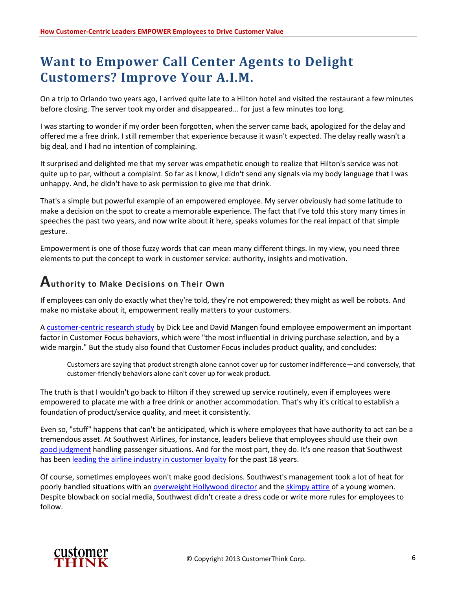# **Want to Empower Call Center Agents to Delight Customers? Improve Your A.I.M.**

On a trip to Orlando two years ago, I arrived quite late to a Hilton hotel and visited the restaurant a few minutes before closing. The server took my order and disappeared... for just a few minutes too long.

I was starting to wonder if my order been forgotten, when the server came back, apologized for the delay and offered me a free drink. I still remember that experience because it wasn't expected. The delay really wasn't a big deal, and I had no intention of complaining.

It surprised and delighted me that my server was empathetic enough to realize that Hilton's service was not quite up to par, without a complaint. So far as I know, I didn't send any signals via my body language that I was unhappy. And, he didn't have to ask permission to give me that drink.

That's a simple but powerful example of an empowered employee. My server obviously had some latitude to make a decision on the spot to create a memorable experience. The fact that I've told this story many times in speeches the past two years, and now write about it here, speaks volumes for the real impact of that simple gesture.

Empowerment is one of those fuzzy words that can mean many different things. In my view, you need three elements to put the concept to work in customer service: authority, insights and motivation.

### **Authority to Make Decisions on Their Own**

If employees can only do exactly what they're told, they're not empowered; they might as well be robots. And make no mistake about it, empowerment really matters to your customers.

A [customer-centric research study](http://www.customerthink.com/report/customers_say_what_companies_dont_want_hear) by Dick Lee and David Mangen found employee empowerment an important factor in Customer Focus behaviors, which were "the most influential in driving purchase selection, and by a wide margin." But the study also found that Customer Focus includes product quality, and concludes:

Customers are saying that product strength alone cannot cover up for customer indifference—and conversely, that customer-friendly behaviors alone can't cover up for weak product.

The truth is that I wouldn't go back to Hilton if they screwed up service routinely, even if employees were empowered to placate me with a free drink or another accommodation. That's why it's critical to establish a foundation of product/service quality, and meet it consistently.

Even so, "stuff" happens that can't be anticipated, which is where employees that have authority to act can be a tremendous asset. At Southwest Airlines, for instance, leaders believe that employees should use their own [good judgment](http://public.thecorporatelibrary.net/ethics/eth_14186.pdf) handling passenger situations. And for the most part, they do. It's one reason that Southwest has been [leading the airline industry in customer loyalty](http://www.customerthink.com/blog/lean_not_mean_how_southwest_wins_with_a_culture_that_empowers_employees) for the past 18 years.

Of course, sometimes employees won't make good decisions. Southwest's management took a lot of heat for poorly handled situations with an **overweight Hollywood director** and th[e skimpy attire](http://gawker.com/5918543/cover-your-cleavage-for-takeoff-southwest-airlines-screws-up-again) of a young women. Despite blowback on social media, Southwest didn't create a dress code or write more rules for employees to follow.

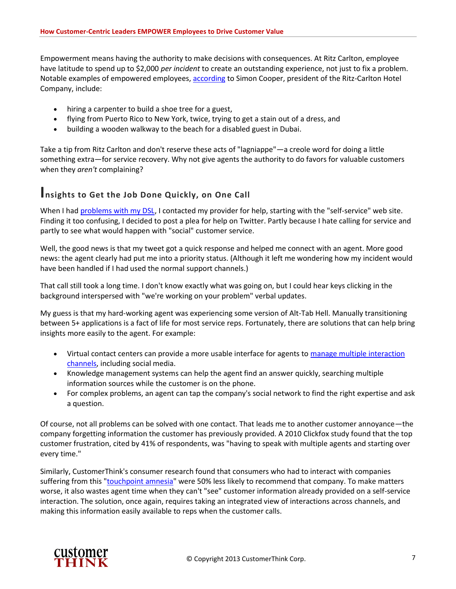Empowerment means having the authority to make decisions with consequences. At Ritz Carlton, employee have latitude to spend up to \$2,000 *per incident* to create an outstanding experience, not just to fix a problem. Notable examples of empowered employees, [according](http://www.forbes.com/2009/10/30/simon-cooper-ritz-leadership-ceonetwork-hotels.html) to Simon Cooper, president of the Ritz-Carlton Hotel Company, include:

- hiring a carpenter to build a shoe tree for a guest,
- flying from Puerto Rico to New York, twice, trying to get a stain out of a dress, and
- building a wooden walkway to the beach for a disabled guest in Dubai.

Take a tip from Ritz Carlton and don't reserve these acts of "lagniappe"—a creole word for doing a little something extra—for service recovery. Why not give agents the authority to do favors for valuable customers when they *aren't* complaining?

### **Insights to Get the Job Done Quickly, on One Call**

When I had [problems with my DSL,](http://www.customerthink.com/blog/fear_uncertainty_and_doubt_my_at_t_dsl_customer_service_experience) I contacted my provider for help, starting with the "self-service" web site. Finding it too confusing, I decided to post a plea for help on Twitter. Partly because I hate calling for service and partly to see what would happen with "social" customer service.

Well, the good news is that my tweet got a quick response and helped me connect with an agent. More good news: the agent clearly had put me into a priority status. (Although it left me wondering how my incident would have been handled if I had used the normal support channels.)

That call still took a long time. I don't know exactly what was going on, but I could hear keys clicking in the background interspersed with "we're working on your problem" verbal updates.

My guess is that my hard-working agent was experiencing some version of Alt-Tab Hell. Manually transitioning between 5+ applications is a fact of life for most service reps. Fortunately, there are solutions that can help bring insights more easily to the agent. For example:

- Virtual contact centers can provide a more usable interface for agents to [manage multiple interaction](http://www.customerthink.com/blog/virtual_contact_centers_3_reasons_to_like_liveops_solution_for_agent_alt_tab_hell)  [channels,](http://www.customerthink.com/blog/virtual_contact_centers_3_reasons_to_like_liveops_solution_for_agent_alt_tab_hell) including social media.
- Knowledge management systems can help the agent find an answer quickly, searching multiple information sources while the customer is on the phone.
- For complex problems, an agent can tap the company's social network to find the right expertise and ask a question.

Of course, not all problems can be solved with one contact. That leads me to another customer annoyance—the company forgetting information the customer has previously provided. A 2010 Clickfox study found that the top customer frustration, cited by 41% of respondents, was "having to speak with multiple agents and starting over every time."

Similarly, CustomerThink's consumer research found that consumers who had to interact with companies suffering from this ["touchpoint amnesia"](http://www.customerthink.com/blog/time_to_harmonize_your_cross_channel_customer_experience) were 50% less likely to recommend that company. To make matters worse, it also wastes agent time when they can't "see" customer information already provided on a self-service interaction. The solution, once again, requires taking an integrated view of interactions across channels, and making this information easily available to reps when the customer calls.

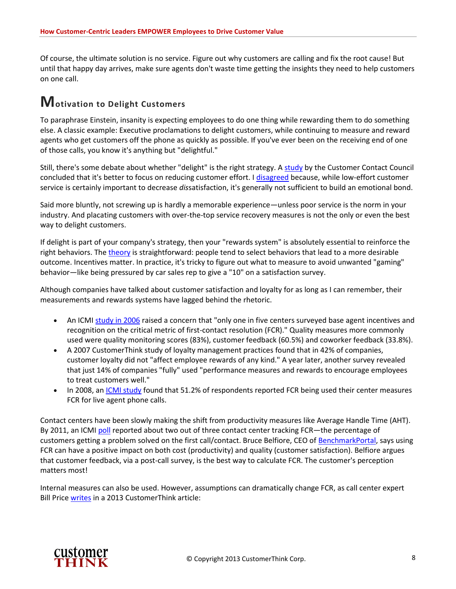Of course, the ultimate solution is no service. Figure out why customers are calling and fix the root cause! But until that happy day arrives, make sure agents don't waste time getting the insights they need to help customers on one call.

### **Motivation to Delight Customers**

To paraphrase Einstein, insanity is expecting employees to do one thing while rewarding them to do something else. A classic example: Executive proclamations to delight customers, while continuing to measure and reward agents who get customers off the phone as quickly as possible. If you've ever been on the receiving end of one of those calls, you know it's anything but "delightful."

Still, there's some debate about whether "delight" is the right strategy. A [study](http://hbr.org/2010/07/stop-trying-to-delight-your-customers/ar/1) by the Customer Contact Council concluded that it's better to focus on reducing customer effort. I [disagreed](http://www.customerthink.com/article/keep_delighting_your_customers) because, while low-effort customer service is certainly important to decrease *dis*satisfaction, it's generally not sufficient to build an emotional bond.

Said more bluntly, not screwing up is hardly a memorable experience—unless poor service is the norm in your industry. And placating customers with over-the-top service recovery measures is not the only or even the best way to delight customers.

If delight is part of your company's strategy, then your "rewards system" is absolutely essential to reinforce the right behaviors. Th[e theory](http://en.wikipedia.org/wiki/Expectancy_theory) is straightforward: people tend to select behaviors that lead to a more desirable outcome. Incentives matter. In practice, it's tricky to figure out what to measure to avoid unwanted "gaming" behavior—like being pressured by car sales rep to give a "10" on a satisfaction survey.

Although companies have talked about customer satisfaction and loyalty for as long as I can remember, their measurements and rewards systems have lagged behind the rhetoric.

- An ICMI [study in 2006](http://www.icmi.com/files/library/SI00014.pdf) raised a concern that "only one in five centers surveyed base agent incentives and recognition on the critical metric of first-contact resolution (FCR)." Quality measures more commonly used were quality monitoring scores (83%), customer feedback (60.5%) and coworker feedback (33.8%).
- A 2007 CustomerThink study of loyalty management practices found that in 42% of companies, customer loyalty did not "affect employee rewards of any kind." A year later, another survey revealed that just 14% of companies "fully" used "performance measures and rewards to encourage employees to treat customers well."
- In 2008, an [ICMI study](http://www.icmi.com/files/ICMI/members/ccmr/ccmr2008/ccmr03/SI00026.pdf) found that 51.2% of respondents reported FCR being used their center measures FCR for live agent phone calls.

Contact centers have been slowly making the shift from productivity measures like Average Handle Time (AHT). By 2011, an ICMI [poll](http://www.icmi.com/Resources/Polls/Does-your-contact-center-measure-first-call-resolution) reported about two out of three contact center tracking FCR—the percentage of customers getting a problem solved on the first call/contact. Bruce Belfiore, CEO of [BenchmarkPortal,](http://www.benchmarkportal.com/) says using FCR can have a positive impact on both cost (productivity) and quality (customer satisfaction). Belfiore argues that customer feedback, via a post-call survey, is the best way to calculate FCR. The customer's perception matters most!

Internal measures can also be used. However, assumptions can dramatically change FCR, as call center expert Bill Pric[e writes](http://www.customerthink.com/article/contact_center_metrics_aht_is_out_fcr_is_in) in a 2013 CustomerThink article:

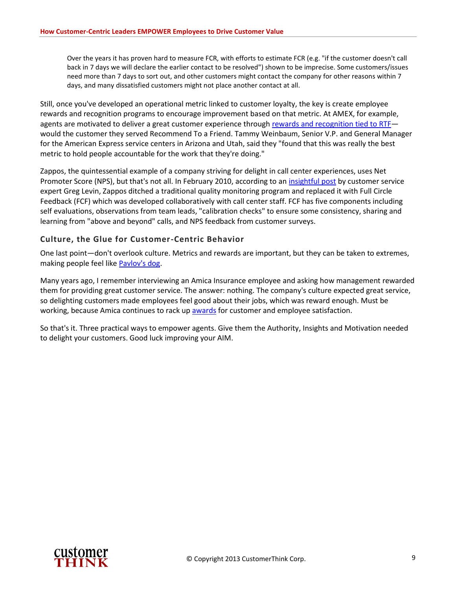Over the years it has proven hard to measure FCR, with efforts to estimate FCR (e.g. "if the customer doesn't call back in 7 days we will declare the earlier contact to be resolved") shown to be imprecise. Some customers/issues need more than 7 days to sort out, and other customers might contact the company for other reasons within 7 days, and many dissatisfied customers might not place another contact at all.

Still, once you've developed an operational metric linked to customer loyalty, the key is create employee rewards and recognition programs to encourage improvement based on that metric. At AMEX, for example, agents are motivated to deliver a great customer experience through [rewards and recognition tied to RTF](http://www.customerthink.com/interview/tammy_weinbaum_american_express_empower_your_people_to_drive_customer_experience_roi) would the customer they served Recommend To a Friend. Tammy Weinbaum, Senior V.P. and General Manager for the American Express service centers in Arizona and Utah, said they "found that this was really the best metric to hold people accountable for the work that they're doing."

Zappos, the quintessential example of a company striving for delight in call center experiences, uses Net Promoter Score (NPS), but that's not all. In February 2010, according to a[n insightful post](http://www.offcenterinsight.com/2/category/zappos%20customer%20loyalty%20team/1.html) by customer service expert Greg Levin, Zappos ditched a traditional quality monitoring program and replaced it with Full Circle Feedback (FCF) which was developed collaboratively with call center staff. FCF has five components including self evaluations, observations from team leads, "calibration checks" to ensure some consistency, sharing and learning from "above and beyond" calls, and NPS feedback from customer surveys.

#### **Culture, the Glue for Customer-Centric Behavior**

One last point—don't overlook culture. Metrics and rewards are important, but they can be taken to extremes, making people feel lik[e Pavlov's dog.](http://en.wikipedia.org/wiki/Classical_conditioning)

Many years ago, I remember interviewing an Amica Insurance employee and asking how management rewarded them for providing great customer service. The answer: nothing. The company's culture expected great service, so delighting customers made employees feel good about their jobs, which was reward enough. Must be working, because Amica continues to rack up **awards** for customer and employee satisfaction.

So that's it. Three practical ways to empower agents. Give them the Authority, Insights and Motivation needed to delight your customers. Good luck improving your AIM.

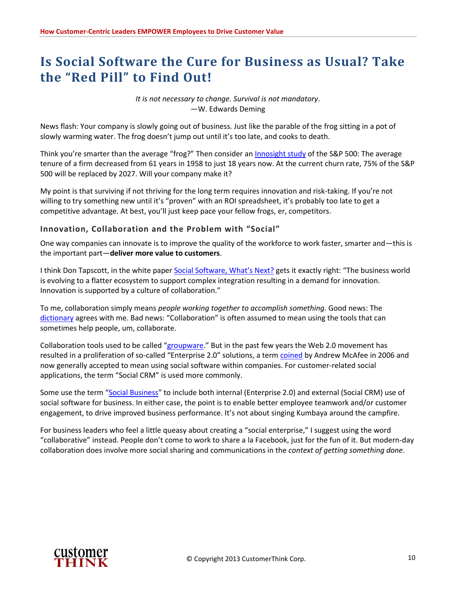### **Is Social Software the Cure for Business as Usual? Take the "Red Pill" to Find Out!**

*It is not necessary to change. Survival is not mandatory*. —W. Edwards Deming

News flash: Your company is slowly going out of business. Just like the parable of the frog sitting in a pot of slowly warming water. The frog doesn't jump out until it's too late, and cooks to death.

Think you're smarter than the average "frog?" Then consider an [Innosight study](http://www.innosight.com/innovation-resources/strategy-innovation/creative-destruction-whips-through-corporate-america.cfm) of the S&P 500: The average tenure of a firm decreased from 61 years in 1958 to just 18 years now. At the current churn rate, 75% of the S&P 500 will be replaced by 2027. Will your company make it?

My point is that surviving if not thriving for the long term requires innovation and risk-taking. If you're not willing to try something new until it's "proven" with an ROI spreadsheet, it's probably too late to get a competitive advantage. At best, you'll just keep pace your fellow frogs, er, competitors.

#### **Innovation, Collaboration and the Problem with "Social"**

One way companies can innovate is to improve the quality of the workforce to work faster, smarter and—this is the important part—**deliver more value to customers**.

I think Don Tapscott, in the white paper [Social Software, What](http://resources.moxiesoft.com/tapscott_big_idea)'s Next? gets it exactly right: "The business world is evolving to a flatter ecosystem to support complex integration resulting in a demand for innovation. Innovation is supported by a culture of collaboration."

To me, collaboration simply means *people working together to accomplish something.* Good news: The [dictionary](http://dictionary.reference.com/browse/collaboration?s=t) agrees with me. Bad news: "Collaboration" is often assumed to mean using the tools that can sometimes help people, um, collaborate.

Collaboration tools used to be called "[groupware.](http://en.wikipedia.org/wiki/Collaborative_software)" But in the past few years the Web 2.0 movement has resulted in a proliferation of so-called "Enterprise 2.0" solutions, a term [coined](http://sloanreview.mit.edu/the-magazine/2006-spring/47306/enterprise-the-dawn-of-emergent-collaboration/) by Andrew McAfee in 2006 and now generally accepted to mean using social software within companies. For customer-related social applications, the term "Social CRM" is used more commonly.

Some use the term "[Social Business](http://www.customerthink.com/social)" to include both internal (Enterprise 2.0) and external (Social CRM) use of social software for business. In either case, the point is to enable better employee teamwork and/or customer engagement, to drive improved business performance. It's not about singing Kumbaya around the campfire.

For business leaders who feel a little queasy about creating a "social enterprise," I suggest using the word "collaborative" instead. People don't come to work to share a la Facebook, just for the fun of it. But modern-day collaboration does involve more social sharing and communications in the *context of getting something done*.

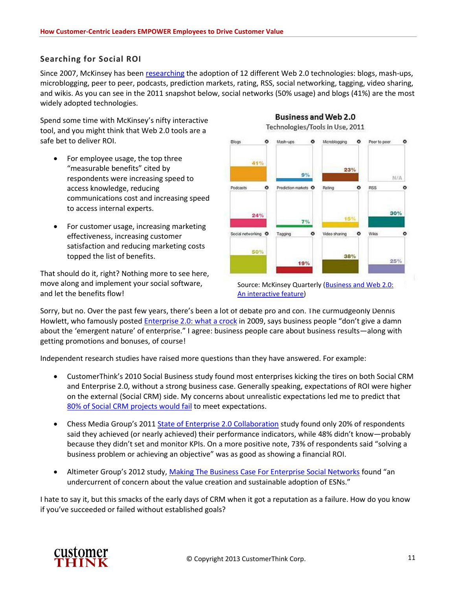#### **Searching for Social ROI**

Since 2007, McKinsey has bee[n researching](https://www.mckinseyquarterly.com/Business_and_Web_20_An_interactive_feature_2431) the adoption of 12 different Web 2.0 technologies: blogs, mash-ups, microblogging, peer to peer, podcasts, prediction markets, rating, RSS, social networking, tagging, video sharing, and wikis. As you can see in the 2011 snapshot below, social networks (50% usage) and blogs (41%) are the most widely adopted technologies.

Spend some time with McKinsey's nifty interactive tool, and you might think that Web 2.0 tools are a safe bet to deliver ROI.

- For employee usage, the top three "measurable benefits" cited by respondents were increasing speed to access knowledge, reducing communications cost and increasing speed to access internal experts.
- For customer usage, increasing marketing effectiveness, increasing customer satisfaction and reducing marketing costs topped the list of benefits.

That should do it, right? Nothing more to see here, move along and implement your social software, and let the benefits flow!

**Business and Web 2.0** Technologies/Tools in Use, 2011



Source: McKinsey Quarterly (Business and Web 2.0: [An interactive feature\)](https://www.mckinseyquarterly.com/wrapper.aspx?ar=2431&story=true&url=http%3a%2f%2fwww.mckinseyquarterly.com%2fBusiness_and_Web_20_An_interactive_feature_2431%3fpagenum%3d1%23interactive&pgn=buwe09_exhibit)

Sorry, but no. Over the past few years, there's been a lot of debate pro and con. The curmudgeonly Dennis Howlett, who famously poste[d Enterprise 2.0: what a crock](http://www.zdnet.com/blog/howlett/enterprise-20-what-a-crock/1228) in 2009, says business people "don't give a damn about the 'emergent nature' of enterprise." I agree: business people care about business results—along with getting promotions and bonuses, of course!

Independent research studies have raised more questions than they have answered. For example:

- CustomerThink's 2010 Social Business study found most enterprises kicking the tires on both Social CRM and Enterprise 2.0, without a strong business case. Generally speaking, expectations of ROI were higher on the external (Social CRM) side. My concerns about unrealistic expectations led me to predict that [80% of Social CRM projects would fail](http://www.customerthink.com/blog/2011_the_year_when_80_percent_of_social_crm_projects_will_fail) to meet expectations.
- Chess Media Group's 201[1 State of Enterprise 2.0 Collaboration](http://www.chessmediagroup.com/resource/state-of-enterprise-2-0-collaboration/) study found only 20% of respondents said they achieved (or nearly achieved) their performance indicators, while 48% didn't know—probably because they didn't set and monitor KPIs. On a more positive note, 73% of respondents said "solving a business problem or achieving an objective" was as good as showing a financial ROI.
- Altimeter Group's 2012 study, [Making The Business Case For Enterprise Social Networks](http://www.altimetergroup.com/2012/02/making-the-business-case-for-enterprise-social-networks.html) found "an undercurrent of concern about the value creation and sustainable adoption of ESNs."

I hate to say it, but this smacks of the early days of CRM when it got a reputation as a failure. How do you know if you've succeeded or failed without established goals?

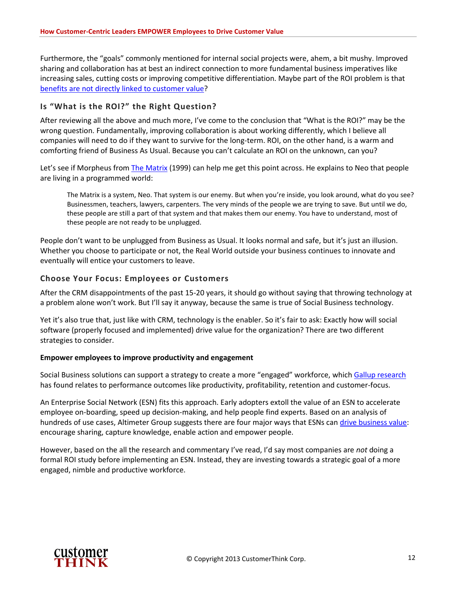Furthermore, the "goals" commonly mentioned for internal social projects were, ahem, a bit mushy. Improved sharing and collaboration has at best an indirect connection to more fundamental business imperatives like increasing sales, cutting costs or improving competitive differentiation. Maybe part of the ROI problem is that [benefits are not directly linked to customer value?](http://www.customerthink.com/blog/where_is_the_customer_in_enterprise_2_0)

#### **Is "What is the ROI?" the Right Question?**

After reviewing all the above and much more, I've come to the conclusion that "What is the ROI?" may be the wrong question. Fundamentally, improving collaboration is about working differently, which I believe all companies will need to do if they want to survive for the long-term. ROI, on the other hand, is a warm and comforting friend of Business As Usual. Because you can't calculate an ROI on the unknown, can you?

Let's see if Morpheus from [The Matrix](http://en.wikipedia.org/wiki/The_Matrix) (1999) can help me get this point across. He explains to Neo that people are living in a programmed world:

The Matrix is a system, Neo. That system is our enemy. But when you're inside, you look around, what do you see? Businessmen, teachers, lawyers, carpenters. The very minds of the people we are trying to save. But until we do, these people are still a part of that system and that makes them our enemy. You have to understand, most of these people are not ready to be unplugged.

People don't want to be unplugged from Business as Usual. It looks normal and safe, but it's just an illusion. Whether you choose to participate or not, the Real World outside your business continues to innovate and eventually will entice your customers to leave.

#### **Choose Your Focus: Employees or Customers**

After the CRM disappointments of the past 15-20 years, it should go without saying that throwing technology at a problem alone won't work. But I'll say it anyway, because the same is true of Social Business technology.

Yet it's also true that, just like with CRM, technology is the enabler. So it's fair to ask: Exactly how will social software (properly focused and implemented) drive value for the organization? There are two different strategies to consider.

#### **Empower employees to improve productivity and engagement**

Social Business solutions can support a strategy to create a more "engaged" workforce, whic[h Gallup research](http://www.gallup.com/consulting/52/employee-engagement.aspx) has found relates to performance outcomes like productivity, profitability, retention and customer-focus.

An Enterprise Social Network (ESN) fits this approach. Early adopters extoll the value of an ESN to accelerate employee on-boarding, speed up decision-making, and help people find experts. Based on an analysis of hundreds of use cases, Altimeter Group suggests there are four major ways that ESNs ca[n drive business value:](http://www.altimetergroup.com/2012/02/making-the-business-case-for-enterprise-social-networks.html) encourage sharing, capture knowledge, enable action and empower people.

However, based on the all the research and commentary I've read, I'd say most companies are *not* doing a formal ROI study before implementing an ESN. Instead, they are investing towards a strategic goal of a more engaged, nimble and productive workforce.

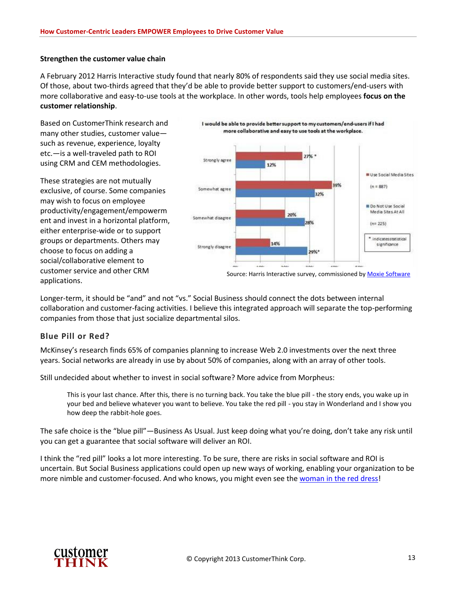#### **Strengthen the customer value chain**

A February 2012 Harris Interactive study found that nearly 80% of respondents said they use social media sites. Of those, about two-thirds agreed that they'd be able to provide better support to customers/end-users with more collaborative and easy-to-use tools at the workplace. In other words, tools help employees **focus on the customer relationship**.

Based on CustomerThink research and many other studies, customer value such as revenue, experience, loyalty etc.—is a well-traveled path to ROI using CRM and CEM methodologies.

These strategies are not mutually exclusive, of course. Some companies may wish to focus on employee productivity/engagement/empowerm ent and invest in a horizontal platform, either enterprise-wide or to support groups or departments. Others may choose to focus on adding a social/collaborative element to customer service and other CRM applications.



Longer-term, it should be "and" and not "vs." Social Business should connect the dots between internal collaboration and customer-facing activities. I believe this integrated approach will separate the top-performing companies from those that just socialize departmental silos.

#### **Blue Pill or Red?**

McKinsey's research finds 65% of companies planning to increase Web 2.0 investments over the next three years. Social networks are already in use by about 50% of companies, along with an array of other tools.

Still undecided about whether to invest in social software? More advice from Morpheus:

This is your last chance. After this, there is no turning back. You take the blue pill - the story ends, you wake up in your bed and believe whatever you want to believe. You take the red pill - you stay in Wonderland and I show you how deep the rabbit-hole goes.

The safe choice is the "blue pill"—Business As Usual. Just keep doing what you're doing, don't take any risk until you can get a guarantee that social software will deliver an ROI.

I think the "red pill" looks a lot more interesting. To be sure, there are risks in social software and ROI is uncertain. But Social Business applications could open up new ways of working, enabling your organization to be more nimble and customer-focused. And who knows, you might even see the [woman in the red dress!](http://youtu.be/MXQozTxQSiE)

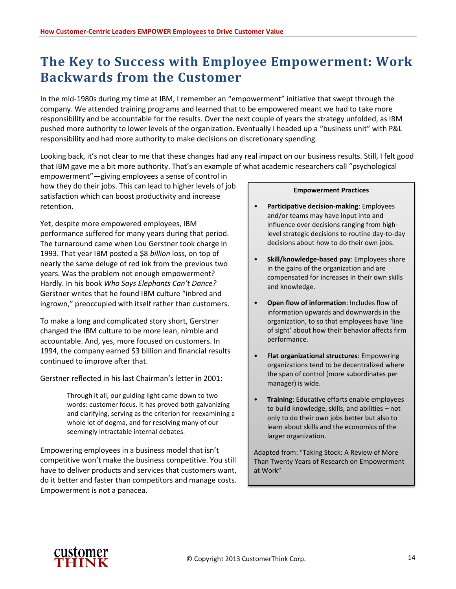### **The Key to Success with Employee Empowerment: Work Backwards from the Customer**

In the mid-1980s during my time at IBM, I remember an "empowerment" initiative that swept through the company. We attended training programs and learned that to be empowered meant we had to take more responsibility and be accountable for the results. Over the next couple of years the strategy unfolded, as IBM pushed more authority to lower levels of the organization. Eventually I headed up a "business unit" with P&L responsibility and had more authority to make decisions on discretionary spending.

Looking back, it's not clear to me that these changes had any real impact on our business results. Still, I felt good that IBM gave me a bit more authority. That's an example of what academic researchers call "psychological

empowerment"—giving employees a sense of control in how they do their jobs. This can lead to higher levels of job satisfaction which can boost productivity and increase retention.

Yet, despite more empowered employees, IBM performance suffered for many years during that period. The turnaround came when Lou Gerstner took charge in 1993. That year IBM posted a \$8 *billion* loss, on top of nearly the same deluge of red ink from the previous two years. Was the problem not enough empowerment? Hardly. In his book *Who Says Elephants Can't Dance?* Gerstner writes that he found IBM culture "inbred and ingrown," preoccupied with itself rather than customers.

To make a long and complicated story short, Gerstner changed the IBM culture to be more lean, nimble and accountable. And, yes, more focused on customers. In 1994, the company earned \$3 billion and financial results continued to improve after that.

Gerstner reflected in his last Chairman's letter in 2001:

Through it all, our guiding light came down to two words: customer focus. It has proved both galvanizing and clarifying, serving as the criterion for reexamining a whole lot of dogma, and for resolving many of our seemingly intractable internal debates.

Empowering employees in a business model that isn't competitive won't make the business competitive. You still have to deliver products and services that customers want, do it better and faster than competitors and manage costs. Empowerment is not a panacea.

#### **Empowerment Practices**

- **Participative decision-making**: Employees and/or teams may have input into and influence over decisions ranging from highlevel strategic decisions to routine day-to-day decisions about how to do their own jobs.
- **Skill/knowledge-based pay**: Employees share in the gains of the organization and are compensated for increases in their own skills and knowledge.
- **Open flow of information**: Includes flow of information upwards and downwards in the organization, to so that employees have 'line of sight' about how their behavior affects firm performance.
- **Flat organizational structures**: Empowering organizations tend to be decentralized where the span of control (more subordinates per manager) is wide.
- **Training**: Educative efforts enable employees to build knowledge, skills, and abilities – not only to do their own jobs better but also to learn about skills and the economics of the larger organization.

Adapted from: "Taking Stock: A Review of More Than Twenty Years of Research on Empowerment at Work"

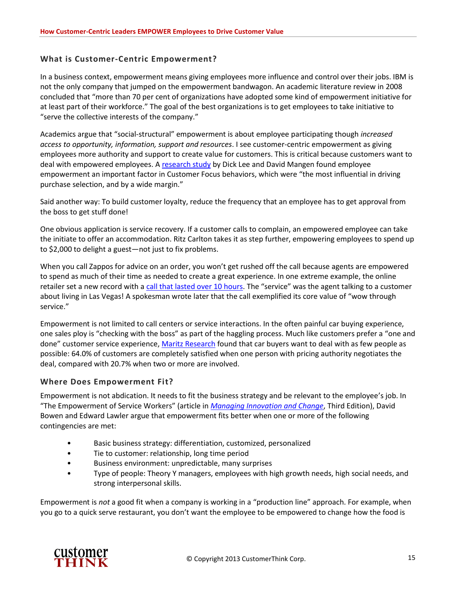#### **What is Customer-Centric Empowerment?**

In a business context, empowerment means giving employees more influence and control over their jobs. IBM is not the only company that jumped on the empowerment bandwagon. An academic literature review in 2008 concluded that "more than 70 per cent of organizations have adopted some kind of empowerment initiative for at least part of their workforce." The goal of the best organizations is to get employees to take initiative to "serve the collective interests of the company."

Academics argue that "social-structural" empowerment is about employee participating though *increased access to opportunity, information, support and resources*. I see customer-centric empowerment as giving employees more authority and support to create value for customers. This is critical because customers want to deal with empowered employees. A [research study](http://www.customerthink.com/report/customers_say_what_companies_dont_want_hear) by Dick Lee and David Mangen found employee empowerment an important factor in Customer Focus behaviors, which were "the most influential in driving purchase selection, and by a wide margin."

Said another way: To build customer loyalty, reduce the frequency that an employee has to get approval from the boss to get stuff done!

One obvious application is service recovery. If a customer calls to complain, an empowered employee can take the initiate to offer an accommodation. Ritz Carlton takes it as step further, empowering employees to spend up to \$2,000 to delight a guest—not just to fix problems.

When you call Zappos for advice on an order, you won't get rushed off the call because agents are empowered to spend as much of their time as needed to create a great experience. In one extreme example, the online retailer set a new record with [a call that lasted over 10 hours.](http://www.huffingtonpost.com/2012/12/21/zappos-10-hour-call_n_2345467.html) The "service" was the agent talking to a customer about living in Las Vegas! A spokesman wrote later that the call exemplified its core value of "wow through service."

Empowerment is not limited to call centers or service interactions. In the often painful car buying experience, one sales ploy is "checking with the boss" as part of the haggling process. Much like customers prefer a "one and done" customer service experience, [Maritz Research](http://www.maritzresearch.com/therideblog/industrynews/making-case-empowering-salesperson-negotiate-deal/) found that car buyers want to deal with as few people as possible: 64.0% of customers are completely satisfied when one person with pricing authority negotiates the deal, compared with 20.7% when two or more are involved.

#### **Where Does Empowerment Fit?**

Empowerment is not abdication. It needs to fit the business strategy and be relevant to the employee's job. In "The Empowerment of Service Workers" (article in *[Managing Innovation and](http://www.uk.sagepub.com/books/Book229173) Change*, Third Edition), David Bowen and Edward Lawler argue that empowerment fits better when one or more of the following contingencies are met:

- Basic business strategy: differentiation, customized, personalized
- Tie to customer: relationship, long time period
- Business environment: unpredictable, many surprises
- Type of people: Theory Y managers, employees with high growth needs, high social needs, and strong interpersonal skills.

Empowerment is *not* a good fit when a company is working in a "production line" approach. For example, when you go to a quick serve restaurant, you don't want the employee to be empowered to change how the food is

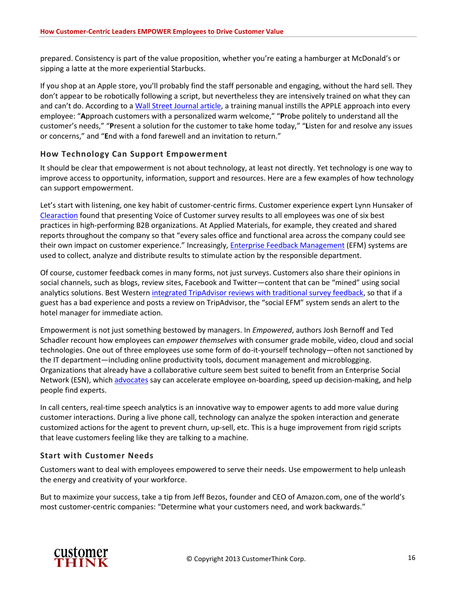prepared. Consistency is part of the value proposition, whether you're eating a hamburger at McDonald's or sipping a latte at the more experiential Starbucks.

If you shop at an Apple store, you'll probably find the staff personable and engaging, without the hard sell. They don't appear to be robotically following a script, but nevertheless they are intensively trained on what they can and can't do. According to [a Wall Street Journal article,](http://online.wsj.com/article/SB10001424052702304563104576364071955678908.html) a training manual instills the APPLE approach into every employee: "**A**pproach customers with a personalized warm welcome," "**P**robe politely to understand all the customer's needs," "**P**resent a solution for the customer to take home today," "**L**isten for and resolve any issues or concerns," and "**E**nd with a fond farewell and an invitation to return."

#### **How Technology Can Support Empowerment**

It should be clear that empowerment is not about technology, at least not directly. Yet technology is one way to improve access to opportunity, information, support and resources. Here are a few examples of how technology can support empowerment.

Let's start with listening, one key habit of customer-centric firms. Customer experience expert Lynn Hunsaker of [Clearaction](http://www.clearaction.biz/) found that presenting Voice of Customer survey results to all employees was one of six best practices in high-performing B2B organizations. At Applied Materials, for example, they created and shared reports throughout the company so that "every sales office and functional area across the company could see their own impact on customer experience." Increasingly, [Enterprise Feedback Management](http://en.wikipedia.org/wiki/Enterprise_feedback_management) (EFM) systems are used to collect, analyze and distribute results to stimulate action by the responsible department.

Of course, customer feedback comes in many forms, not just surveys. Customers also share their opinions in social channels, such as blogs, review sites, Facebook and Twitter—content that can be "mined" using social analytics solutions. Best Western [integrated TripAdvisor reviews with traditional survey feedback,](http://www.customerthink.com/article/best_western_pioneers_social_feedback_management_improves_guest_experience) so that if a guest has a bad experience and posts a review on TripAdvisor, the "social EFM" system sends an alert to the hotel manager for immediate action.

Empowerment is not just something bestowed by managers. In *Empowered*, authors Josh Bernoff and Ted Schadler recount how employees can *empower themselves* with consumer grade mobile, video, cloud and social technologies. One out of three employees use some form of do-it-yourself technology—often not sanctioned by the IT department—including online productivity tools, document management and microblogging. Organizations that already have a collaborative culture seem best suited to benefit from an Enterprise Social Network (ESN), which [advocates](http://www.customerthink.com/article/social_software_cure_for_business_as_usual) say can accelerate employee on-boarding, speed up decision-making, and help people find experts.

In call centers, real-time speech analytics is an innovative way to empower agents to add more value during customer interactions. During a live phone call, technology can analyze the spoken interaction and generate customized actions for the agent to prevent churn, up-sell, etc. This is a huge improvement from rigid scripts that leave customers feeling like they are talking to a machine.

#### **Start with Customer Needs**

Customers want to deal with employees empowered to serve their needs. Use empowerment to help unleash the energy and creativity of your workforce.

But to maximize your success, take a tip from Jeff Bezos, founder and CEO of Amazon.com, one of the world's most customer-centric companies: "Determine what your customers need, and work backwards."

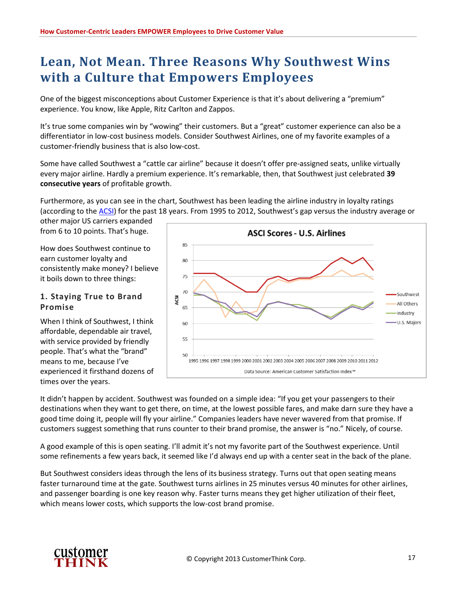# **Lean, Not Mean. Three Reasons Why Southwest Wins with a Culture that Empowers Employees**

One of the biggest misconceptions about Customer Experience is that it's about delivering a "premium" experience. You know, like Apple, Ritz Carlton and Zappos.

It's true some companies win by "wowing" their customers. But a "great" customer experience can also be a differentiator in low-cost business models. Consider Southwest Airlines, one of my favorite examples of a customer-friendly business that is also low-cost.

Some have called Southwest a "cattle car airline" because it doesn't offer pre-assigned seats, unlike virtually every major airline. Hardly a premium experience. It's remarkable, then, that Southwest just celebrated **39 consecutive years** of profitable growth.

Furthermore, as you can see in the chart, Southwest has been leading the airline industry in loyalty ratings (according to th[e ACSI\)](http://www.theacsi.org/?option=com_content&view=article&id=147&catid=14&Itemid=212&i=Airlines) for the past 18 years. From 1995 to 2012, Southwest's gap versus the industry average or

other major US carriers expanded from 6 to 10 points. That's huge.

How does Southwest continue to earn customer loyalty and consistently make money? I believe it boils down to three things:

#### **1. Staying True to Brand Promise**

When I think of Southwest, I think affordable, dependable air travel, with service provided by friendly people. That's what the "brand" means to me, because I've experienced it firsthand dozens of times over the years.



It didn't happen by accident. Southwest was founded on a simple idea: "If you get your passengers to their destinations when they want to get there, on time, at the lowest possible fares, and make darn sure they have a good time doing it, people will fly your airline." Companies leaders have never wavered from that promise. If customers suggest something that runs counter to their brand promise, the answer is "no." Nicely, of course.

A good example of this is open seating. I'll admit it's not my favorite part of the Southwest experience. Until some refinements a few years back, it seemed like I'd always end up with a center seat in the back of the plane.

But Southwest considers ideas through the lens of its business strategy. Turns out that open seating means faster turnaround time at the gate. Southwest turns airlines in 25 minutes versus 40 minutes for other airlines, and passenger boarding is one key reason why. Faster turns means they get higher utilization of their fleet, which means lower costs, which supports the low-cost brand promise.

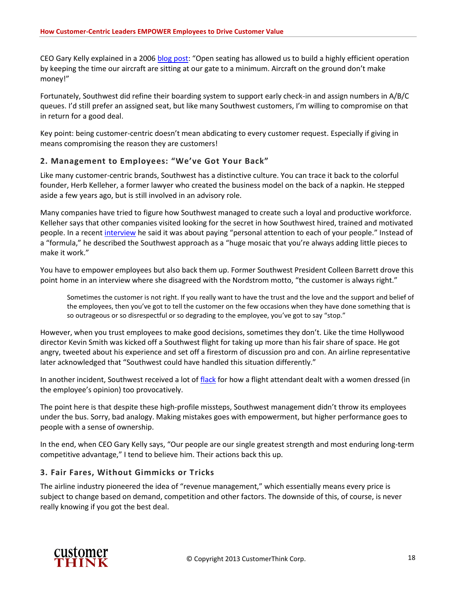CEO Gary Kelly explained in a 2006 [blog post:](http://www.blogsouthwest.com/blog/a-message-from-our-ceo-open-season-on-assigned-seating) "Open seating has allowed us to build a highly efficient operation by keeping the time our aircraft are sitting at our gate to a minimum. Aircraft on the ground don't make money!"

Fortunately, Southwest did refine their boarding system to support early check-in and assign numbers in A/B/C queues. I'd still prefer an assigned seat, but like many Southwest customers, I'm willing to compromise on that in return for a good deal.

Key point: being customer-centric doesn't mean abdicating to every customer request. Especially if giving in means compromising the reason they are customers!

#### **2. Management to Employees: "We've Got Your Back"**

Like many customer-centric brands, Southwest has a distinctive culture. You can trace it back to the colorful founder, Herb Kelleher, a former lawyer who created the business model on the back of a napkin. He stepped aside a few years ago, but is still involved in an advisory role.

Many companies have tried to figure how Southwest managed to create such a loyal and productive workforce. Kelleher says that other companies visited looking for the secret in how Southwest hired, trained and motivated people. In a recent [interview](http://management.fortune.cnn.com/2013/01/14/kelleher-southwest-airlines/) he said it was about paying "personal attention to each of your people." Instead of a "formula," he described the Southwest approach as a "huge mosaic that you're always adding little pieces to make it work."

You have to empower employees but also back them up. Former Southwest President Colleen Barrett drove this point home in an interview where she disagreed with the Nordstrom motto, "the customer is always right."

Sometimes the customer is not right. If you really want to have the trust and the love and the support and belief of the employees, then you've got to tell the customer on the few occasions when they have done something that is so outrageous or so disrespectful or so degrading to the employee, you've got to say "stop."

However, when you trust employees to make good decisions, sometimes they don't. Like the time Hollywood director Kevin Smith was kicked off a Southwest flight for taking up more than his fair share of space. He got angry, tweeted about his experience and set off a firestorm of discussion pro and con. An airline representative later acknowledged that "Southwest could have handled this situation differently."

In another incident, Southwest received a lot of [flack](http://jezebel.com/5917845/cover-your-cleavage-for-takeoff-southwest-airlines-screws-up-again) for how a flight attendant dealt with a women dressed (in the employee's opinion) too provocatively.

The point here is that despite these high-profile missteps, Southwest management didn't throw its employees under the bus. Sorry, bad analogy. Making mistakes goes with empowerment, but higher performance goes to people with a sense of ownership.

In the end, when CEO Gary Kelly says, "Our people are our single greatest strength and most enduring long-term competitive advantage," I tend to believe him. Their actions back this up.

#### **3. Fair Fares, Without Gimmicks or Tricks**

The airline industry pioneered the idea of "revenue management," which essentially means every price is subject to change based on demand, competition and other factors. The downside of this, of course, is never really knowing if you got the best deal.